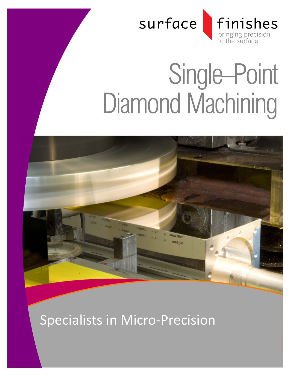

# Single–Point Diamond Machining



Specialists in Micro-Precision